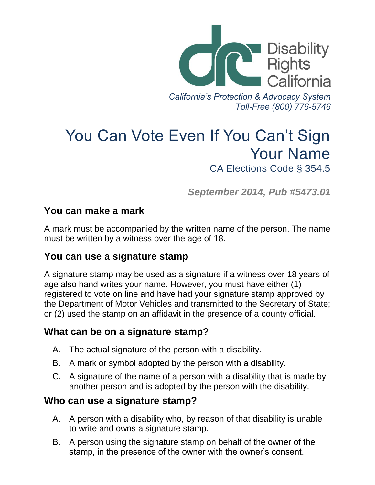

You Can Vote Even If You Can't Sign Your Name CA Elections Code § 354.5

*September 2014, Pub #5473.01*

## **You can make a mark**

A mark must be accompanied by the written name of the person. The name must be written by a witness over the age of 18.

## **You can use a signature stamp**

A signature stamp may be used as a signature if a witness over 18 years of age also hand writes your name. However, you must have either (1) registered to vote on line and have had your signature stamp approved by the Department of Motor Vehicles and transmitted to the Secretary of State; or (2) used the stamp on an affidavit in the presence of a county official.

## **What can be on a signature stamp?**

- A. The actual signature of the person with a disability.
- B. A mark or symbol adopted by the person with a disability.
- C. A signature of the name of a person with a disability that is made by another person and is adopted by the person with the disability.

## **Who can use a signature stamp?**

- A. A person with a disability who, by reason of that disability is unable to write and owns a signature stamp.
- B. A person using the signature stamp on behalf of the owner of the stamp, in the presence of the owner with the owner's consent.